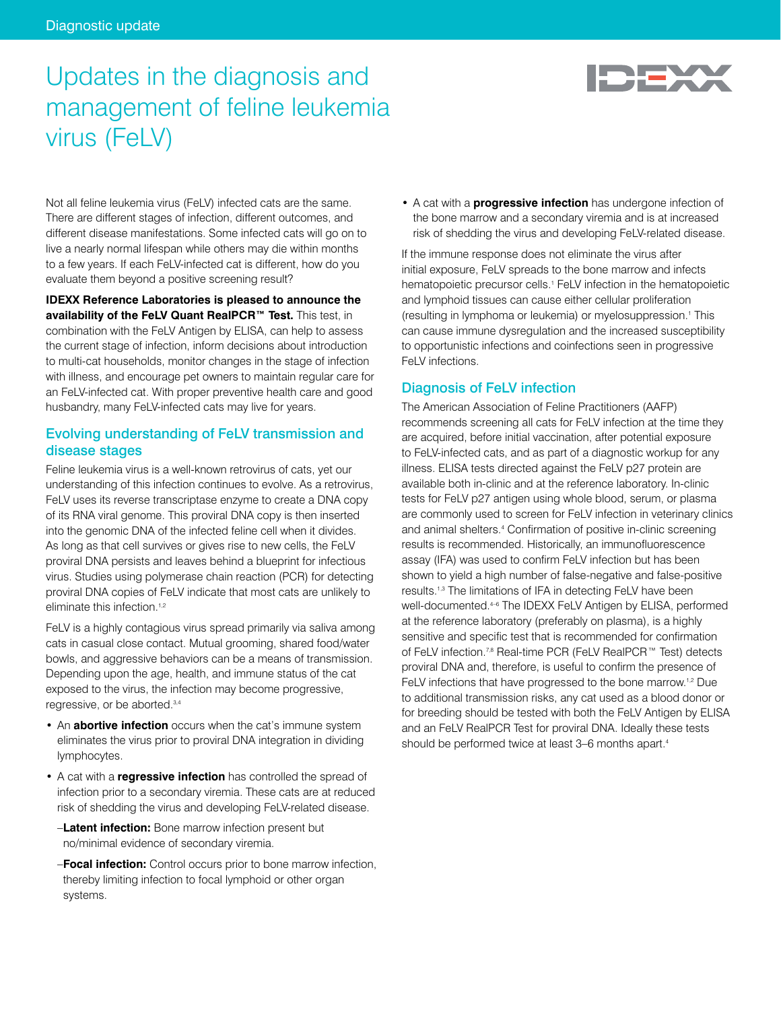# Updates in the diagnosis and management of feline leukemia virus (FeLV)



Not all feline leukemia virus (FeLV) infected cats are the same. There are different stages of infection, different outcomes, and different disease manifestations. Some infected cats will go on to live a nearly normal lifespan while others may die within months to a few years. If each FeLV-infected cat is different, how do you evaluate them beyond a positive screening result?

**IDEXX Reference Laboratories is pleased to announce the availability of the FeLV Quant RealPCR™ Test.** This test, in combination with the FeLV Antigen by ELISA, can help to assess the current stage of infection, inform decisions about introduction to multi-cat households, monitor changes in the stage of infection with illness, and encourage pet owners to maintain regular care for an FeLV-infected cat. With proper preventive health care and good husbandry, many FeLV-infected cats may live for years.

## Evolving understanding of FeLV transmission and disease stages

Feline leukemia virus is a well-known retrovirus of cats, yet our understanding of this infection continues to evolve. As a retrovirus, FeLV uses its reverse transcriptase enzyme to create a DNA copy of its RNA viral genome. This proviral DNA copy is then inserted into the genomic DNA of the infected feline cell when it divides. As long as that cell survives or gives rise to new cells, the FeLV proviral DNA persists and leaves behind a blueprint for infectious virus. Studies using polymerase chain reaction (PCR) for detecting proviral DNA copies of FeLV indicate that most cats are unlikely to eliminate this infection.<sup>1,2</sup>

FeLV is a highly contagious virus spread primarily via saliva among cats in casual close contact. Mutual grooming, shared food/water bowls, and aggressive behaviors can be a means of transmission. Depending upon the age, health, and immune status of the cat exposed to the virus, the infection may become progressive, regressive, or be aborted.3,4

- An **abortive infection** occurs when the cat's immune system eliminates the virus prior to proviral DNA integration in dividing lymphocytes.
- A cat with a **regressive infection** has controlled the spread of infection prior to a secondary viremia. These cats are at reduced risk of shedding the virus and developing FeLV-related disease.
	- –**Latent infection:** Bone marrow infection present but no/minimal evidence of secondary viremia.
	- –**Focal infection:** Control occurs prior to bone marrow infection, thereby limiting infection to focal lymphoid or other organ systems.

• A cat with a **progressive infection** has undergone infection of the bone marrow and a secondary viremia and is at increased risk of shedding the virus and developing FeLV-related disease.

If the immune response does not eliminate the virus after initial exposure, FeLV spreads to the bone marrow and infects hematopoietic precursor cells.<sup>1</sup> FeLV infection in the hematopoietic and lymphoid tissues can cause either cellular proliferation (resulting in lymphoma or leukemia) or myelosuppression.1 This can cause immune dysregulation and the increased susceptibility to opportunistic infections and coinfections seen in progressive FeLV infections.

# Diagnosis of FeLV infection

The American Association of Feline Practitioners (AAFP) recommends screening all cats for FeLV infection at the time they are acquired, before initial vaccination, after potential exposure to FeLV-infected cats, and as part of a diagnostic workup for any illness. ELISA tests directed against the FeLV p27 protein are available both in-clinic and at the reference laboratory. In-clinic tests for FeLV p27 antigen using whole blood, serum, or plasma are commonly used to screen for FeLV infection in veterinary clinics and animal shelters.4 Confirmation of positive in-clinic screening results is recommended. Historically, an immunofluorescence assay (IFA) was used to confirm FeLV infection but has been shown to yield a high number of false-negative and false-positive results.1,3 The limitations of IFA in detecting FeLV have been well-documented.4–6 The IDEXX FeLV Antigen by ELISA, performed at the reference laboratory (preferably on plasma), is a highly sensitive and specific test that is recommended for confirmation of FeLV infection.7,8 Real-time PCR (FeLV RealPCR™ Test) detects proviral DNA and, therefore, is useful to confirm the presence of FeLV infections that have progressed to the bone marrow.1,2 Due to additional transmission risks, any cat used as a blood donor or for breeding should be tested with both the FeLV Antigen by ELISA and an FeLV RealPCR Test for proviral DNA. Ideally these tests should be performed twice at least 3–6 months apart.4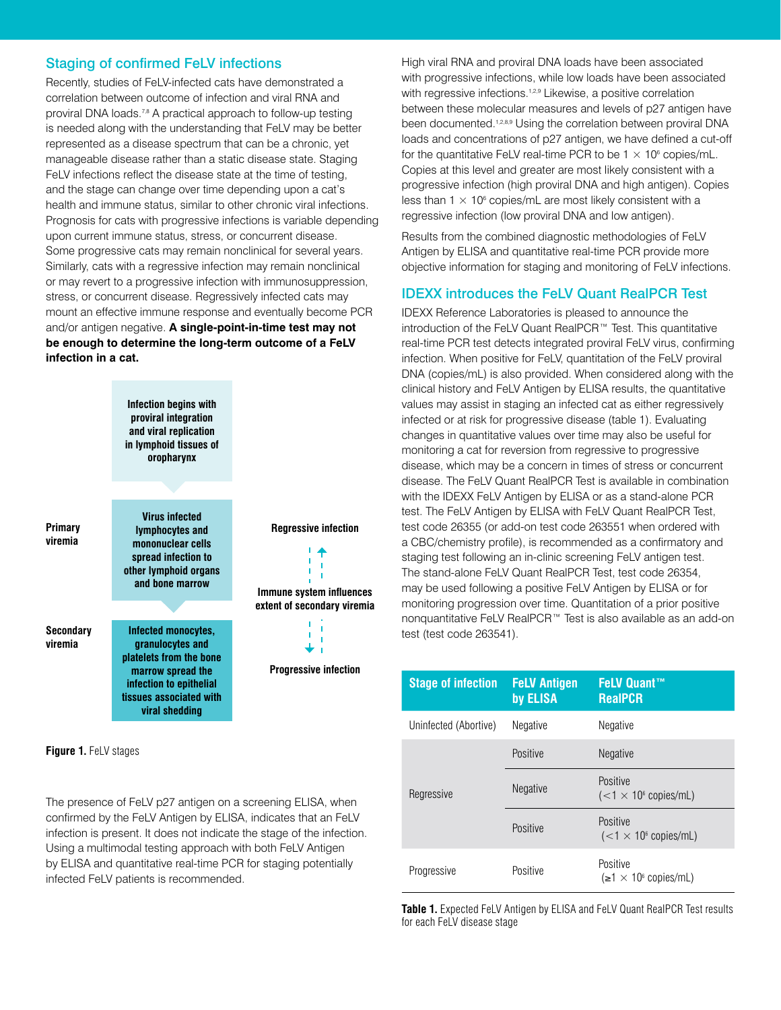## Staging of confirmed FeLV infections

Recently, studies of FeLV-infected cats have demonstrated a correlation between outcome of infection and viral RNA and proviral DNA loads.<sup>7,8</sup> A practical approach to follow-up testing is needed along with the understanding that FeLV may be better represented as a disease spectrum that can be a chronic, yet manageable disease rather than a static disease state. Staging FeLV infections reflect the disease state at the time of testing, and the stage can change over time depending upon a cat's health and immune status, similar to other chronic viral infections. Prognosis for cats with progressive infections is variable depending upon current immune status, stress, or concurrent disease. Some progressive cats may remain nonclinical for several years. Similarly, cats with a regressive infection may remain nonclinical or may revert to a progressive infection with immunosuppression, stress, or concurrent disease. Regressively infected cats may mount an effective immune response and eventually become PCR and/or antigen negative. **A single-point-in-time test may not be enough to determine the long-term outcome of a FeLV infection in a cat.**

|                             | Infection begins with<br>proviral integration<br>and viral replication<br>in lymphoid tissues of<br>oropharynx                                                  |                                                         |
|-----------------------------|-----------------------------------------------------------------------------------------------------------------------------------------------------------------|---------------------------------------------------------|
|                             |                                                                                                                                                                 |                                                         |
| Primary<br>viremia          | <b>Virus infected</b><br><b>lymphocytes and</b><br>mononuclear cells<br>spread infection to<br>other lymphoid organs<br>and bone marrow                         | <b>Regressive infection</b><br>Immune system influences |
|                             |                                                                                                                                                                 | extent of secondary viremia                             |
| <b>Secondary</b><br>viremia | Infected monocytes,<br>granulocytes and<br>platelets from the bone<br>marrow spread the<br>infection to epithelial<br>tissues associated with<br>viral shedding | <b>Progressive infection</b>                            |

**Figure 1.** FeLV stages

The presence of FeLV p27 antigen on a screening ELISA, when confirmed by the FeLV Antigen by ELISA, indicates that an FeLV infection is present. It does not indicate the stage of the infection. Using a multimodal testing approach with both FeLV Antigen by ELISA and quantitative real-time PCR for staging potentially infected FeLV patients is recommended.

High viral RNA and proviral DNA loads have been associated with progressive infections, while low loads have been associated with regressive infections.<sup>1,2,9</sup> Likewise, a positive correlation between these molecular measures and levels of p27 antigen have been documented.<sup>1,2,8,9</sup> Using the correlation between proviral DNA loads and concentrations of p27 antigen, we have defined a cut-off for the quantitative FeLV real-time PCR to be  $1 \times 10^6$  copies/mL. Copies at this level and greater are most likely consistent with a progressive infection (high proviral DNA and high antigen). Copies less than  $1 \times 10^6$  copies/mL are most likely consistent with a regressive infection (low proviral DNA and low antigen).

Results from the combined diagnostic methodologies of FeLV Antigen by ELISA and quantitative real-time PCR provide more objective information for staging and monitoring of FeLV infections.

#### IDEXX introduces the FeLV Quant RealPCR Test

IDEXX Reference Laboratories is pleased to announce the introduction of the FeLV Quant RealPCR™ Test. This quantitative real-time PCR test detects integrated proviral FeLV virus, confirming infection. When positive for FeLV, quantitation of the FeLV proviral DNA (copies/mL) is also provided. When considered along with the clinical history and FeLV Antigen by ELISA results, the quantitative values may assist in staging an infected cat as either regressively infected or at risk for progressive disease (table 1). Evaluating changes in quantitative values over time may also be useful for monitoring a cat for reversion from regressive to progressive disease, which may be a concern in times of stress or concurrent disease. The FeLV Quant RealPCR Test is available in combination with the IDEXX FeLV Antigen by ELISA or as a stand-alone PCR test. The FeLV Antigen by ELISA with FeLV Quant RealPCR Test, test code 26355 (or add-on test code 263551 when ordered with a CBC/chemistry profile), is recommended as a confirmatory and staging test following an in-clinic screening FeLV antigen test. The stand-alone FeLV Quant RealPCR Test, test code 26354, may be used following a positive FeLV Antigen by ELISA or for monitoring progression over time. Quantitation of a prior positive nonquantitative FeLV RealPCR™ Test is also available as an add-on test (test code 263541).

| <b>Stage of infection</b> | <b>FeLV Antigen</b><br>by ELISA | <b>FeLV Quant™</b><br><b>RealPCR</b>         |
|---------------------------|---------------------------------|----------------------------------------------|
| Uninfected (Abortive)     | Negative                        | Negative                                     |
|                           | Positive                        | Negative                                     |
| Regressive                | <b>Negative</b>                 | Positive<br>$(<1 \times 10^6$ copies/mL)     |
|                           | Positive                        | Positive<br>$(<1 \times 10^6$ copies/mL)     |
| Progressive               | Positive                        | Positive<br>$(\geq 1 \times 10^6$ copies/mL) |

**Table 1.** Expected FeLV Antigen by ELISA and FeLV Quant RealPCR Test results for each FeLV disease stage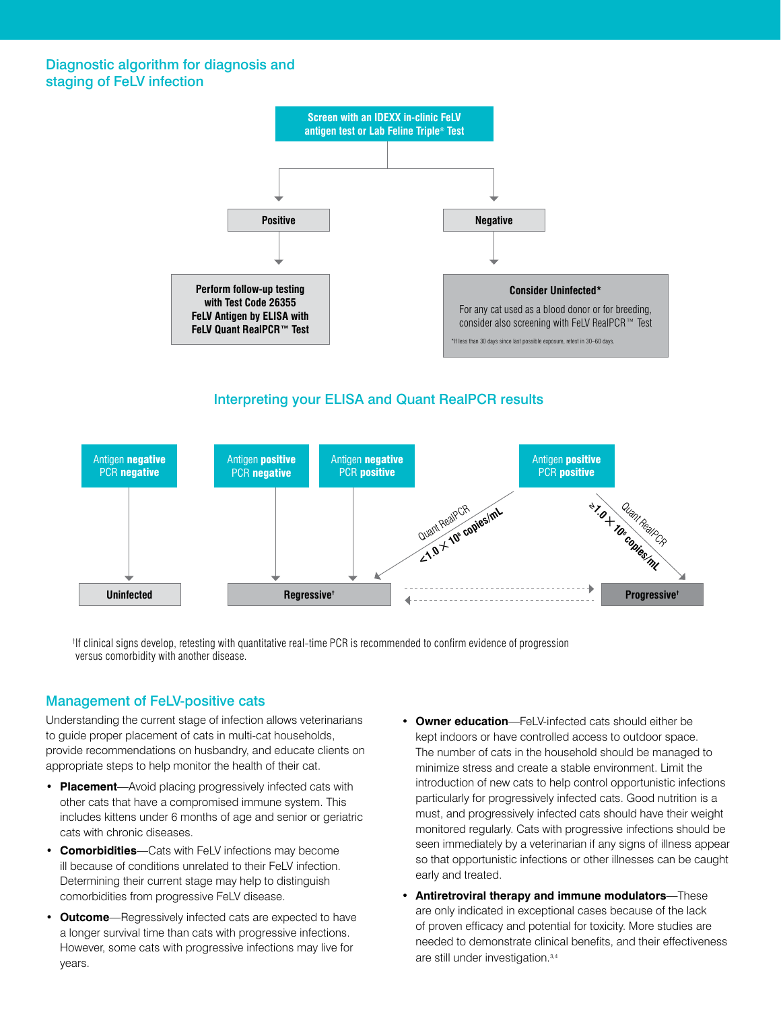#### Diagnostic algorithm for diagnosis and staging of FeLV infection



## Interpreting your ELISA and Quant RealPCR results



† If clinical signs develop, retesting with quantitative real-time PCR is recommended to confirm evidence of progression versus comorbidity with another disease.

#### Management of FeLV-positive cats

Understanding the current stage of infection allows veterinarians to guide proper placement of cats in multi-cat households, provide recommendations on husbandry, and educate clients on appropriate steps to help monitor the health of their cat.

- **• Placement**—Avoid placing progressively infected cats with other cats that have a compromised immune system. This includes kittens under 6 months of age and senior or geriatric cats with chronic diseases.
- **• Comorbidities**—Cats with FeLV infections may become ill because of conditions unrelated to their FeLV infection. Determining their current stage may help to distinguish comorbidities from progressive FeLV disease.
- **• Outcome**—Regressively infected cats are expected to have a longer survival time than cats with progressive infections. However, some cats with progressive infections may live for years.
- **• Owner education**—FeLV-infected cats should either be kept indoors or have controlled access to outdoor space. The number of cats in the household should be managed to minimize stress and create a stable environment. Limit the introduction of new cats to help control opportunistic infections particularly for progressively infected cats. Good nutrition is a must, and progressively infected cats should have their weight monitored regularly. Cats with progressive infections should be seen immediately by a veterinarian if any signs of illness appear so that opportunistic infections or other illnesses can be caught early and treated.
- **• Antiretroviral therapy and immune modulators**—These are only indicated in exceptional cases because of the lack of proven efficacy and potential for toxicity. More studies are needed to demonstrate clinical benefits, and their effectiveness are still under investigation.3,4